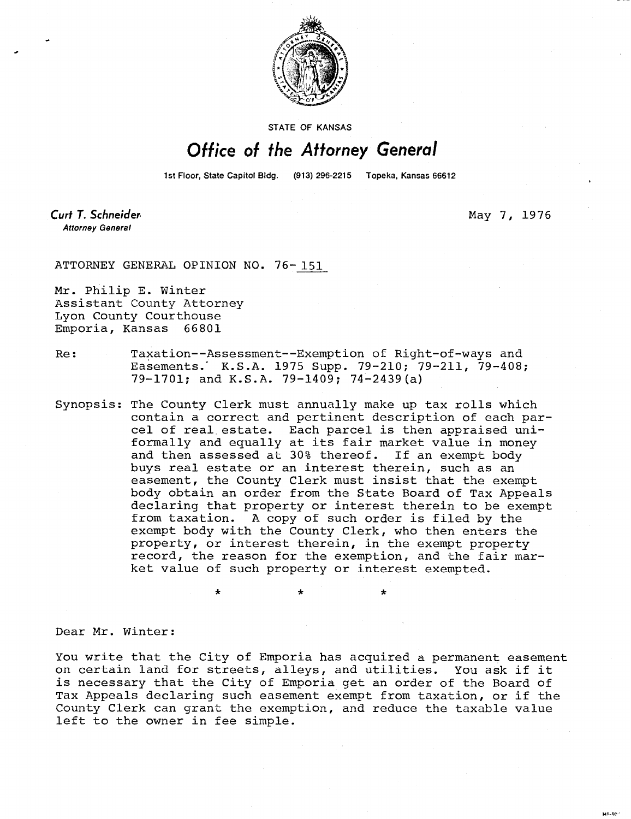

STATE OF KANSAS

## Office of the Attorney General

1st Floor, State Capitol Bldg. (913) 296-2215 Topeka, Kansas 66612

Curt T. Schneider **Attorney General** 

May 7, 1976

ut-to

ATTORNEY GENERAL OPINION NO. 76- 151

Mr. Philip E. Winter Assistant County Attorney Lyon County Courthouse Emporia, Kansas 66801

- Re: Taxation--Assessment--Exemption of Right-of-ways and Easements.' K.S.A. 1975 Supp. 79-210; 79-211, 79-408; 79-1701; and K.S.A. 79-1409; 74-2439(a)
- Synopsis: The County Clerk must annually make up tax rolls which contain a correct and pertinent description of each parcel of real estate. Each parcel is then appraised uniformally and equally at its fair market value in money and then assessed at 30% thereof. If an exempt body buys real estate or an interest therein, such as an easement, the County Clerk must insist that the exempt body obtain an order from the State Board of Tax Appeals declaring that property or interest therein to be exempt from taxation. A copy of such order is filed by the exempt body with the County Clerk, who then enters the property, or interest therein, in the exempt property record, the reason for the exemption, and the fair market value of such property or interest exempted.

\* \*

Dear Mr. Winter:

You write that the City of Emporia has acquired a permanent easement on certain land for streets, alleys, and utilities. You ask if it is necessary that the City of Emporia get an order of the Board of Tax Appeals declaring such easement exempt from taxation, or if the County Clerk can grant the exemption, and reduce the taxable value left to the owner in fee simple.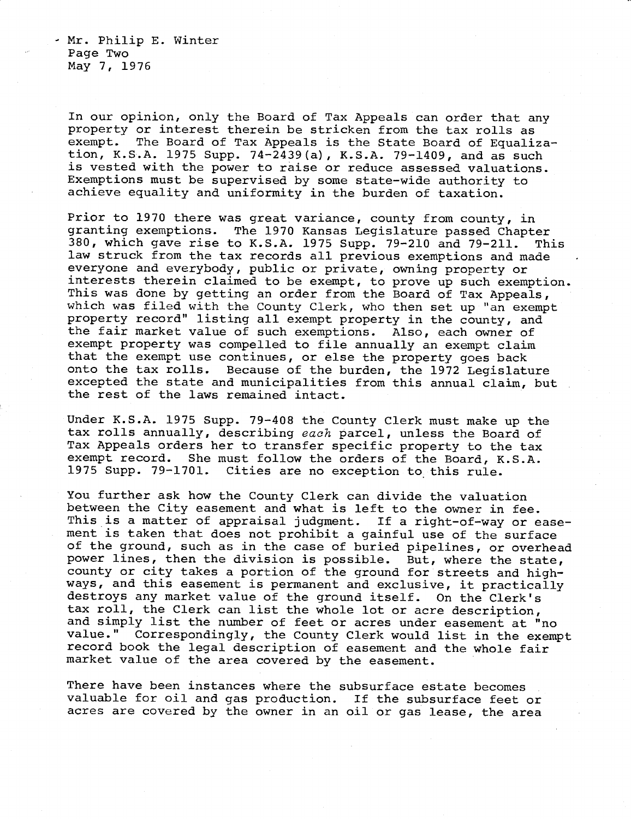- Mr. Philip E. Winter Page Two May 7, 1976

In our opinion, only the Board of Tax Appeals can order that any property or interest therein be stricken from the tax rolls as exempt. The Board of Tax Appeals is the State Board of Equalization, K.S.A. 1975 Supp. 74-2439(a), K.S.A. 79-1409, and as such is vested with the power to raise or reduce assessed valuations. Exemptions must be supervised by some state-wide authority to achieve equality and uniformity in the burden of taxation.

Prior to 1970 there was great variance, county from county, in granting exemptions. The 1970 Kansas Legislature passed Chapter 380, which gave rise to K.S.A. 1975 Supp. 79-210 and 79-211. This law struck from the tax records all previous exemptions and made everyone and everybody, public or private, owning property or interests therein claimed to be exempt, to prove up such exemption. This was done by getting an order from the Board of Tax Appeals, which was filed with the County Clerk, who then set up "an exempt property record" listing all exempt property in the county, and the fair market value of such exemptions. Also, each owner of exempt property was compelled to file annually an exempt claim that the exempt use continues, or else the property goes back onto the tax rolls. Because of the burden, the 1972 Legislature excepted the state and municipalities from this annual claim, but the rest of the laws remained intact.

Under K.S.A. 1975 Supp. 79-408 the County Clerk must make up the tax rolls annually, describing each parcel, unless the Board of Tax Appeals orders her to transfer specific property to the tax exempt record. She must follow the orders of the Board, K.S.A. 1975 Supp. 79-1701. Cities are no exception to this rule.

You further ask how the County Clerk can divide the valuation between the City easement and what is left to the owner in fee. This is a matter of appraisal judgment. If a right-of-way or easement is taken that does not prohibit a gainful use of the surface of the ground, such as in the case of buried pipelines, or overhead power lines, then the division is possible. But, where the state, county or city takes a portion of the ground for streets and highways, and this easement is permanent and exclusive, it practically destroys any market value of the ground itself. On the Clerk's tax roll, the Clerk can list the whole lot or acre description, and simply list the number of feet or acres under easement at "no value." Correspondingly, the County Clerk would list in the exempt record book the legal description of easement and the whole fair market value of the area covered by the easement.

There have been instances where the subsurface estate becomes valuable for oil and gas production. If the subsurface feet or acres are covered by the owner in an oil or gas lease, the area